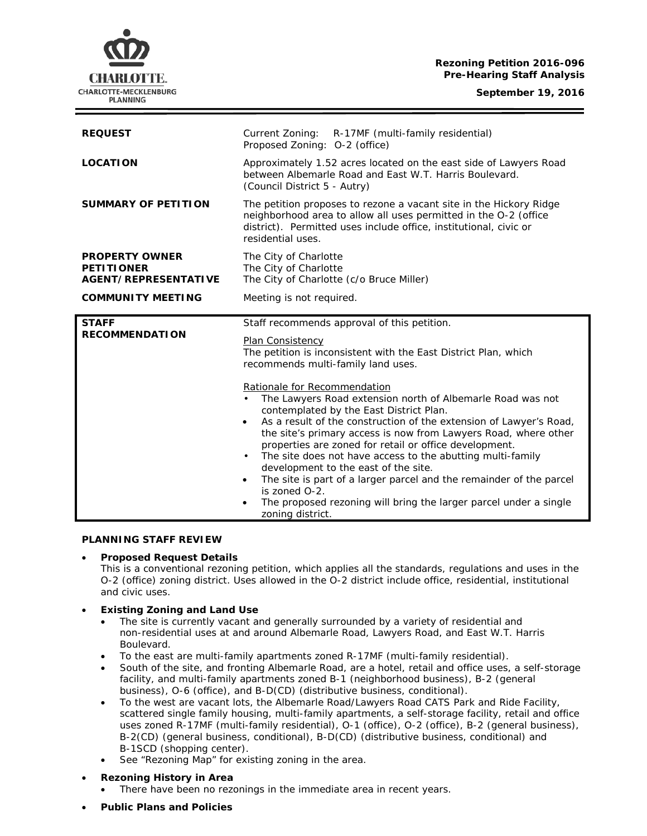# **Rezoning Petition 2016-096 Pre-Hearing Staff Analysis**

**September 19, 2016**



| <b>REQUEST</b>                                                            | Current Zoning: R-17MF (multi-family residential)<br>Proposed Zoning: 0-2 (office)                                                                                                                                                                                                                                                                                                                                                                                                                                                                                                                                                                                                                                                                                                                                                                        |
|---------------------------------------------------------------------------|-----------------------------------------------------------------------------------------------------------------------------------------------------------------------------------------------------------------------------------------------------------------------------------------------------------------------------------------------------------------------------------------------------------------------------------------------------------------------------------------------------------------------------------------------------------------------------------------------------------------------------------------------------------------------------------------------------------------------------------------------------------------------------------------------------------------------------------------------------------|
| <b>LOCATION</b>                                                           | Approximately 1.52 acres located on the east side of Lawyers Road<br>between Albemarle Road and East W.T. Harris Boulevard.<br>(Council District 5 - Autry)                                                                                                                                                                                                                                                                                                                                                                                                                                                                                                                                                                                                                                                                                               |
| <b>SUMMARY OF PETITION</b>                                                | The petition proposes to rezone a vacant site in the Hickory Ridge<br>neighborhood area to allow all uses permitted in the O-2 (office<br>district). Permitted uses include office, institutional, civic or<br>residential uses.                                                                                                                                                                                                                                                                                                                                                                                                                                                                                                                                                                                                                          |
| <b>PROPERTY OWNER</b><br><b>PETITIONER</b><br><b>AGENT/REPRESENTATIVE</b> | The City of Charlotte<br>The City of Charlotte<br>The City of Charlotte (c/o Bruce Miller)                                                                                                                                                                                                                                                                                                                                                                                                                                                                                                                                                                                                                                                                                                                                                                |
| <b>COMMUNITY MEETING</b>                                                  | Meeting is not required.                                                                                                                                                                                                                                                                                                                                                                                                                                                                                                                                                                                                                                                                                                                                                                                                                                  |
| <b>STAFF</b><br><b>RECOMMENDATION</b>                                     | Staff recommends approval of this petition.<br><b>Plan Consistency</b><br>The petition is inconsistent with the East District Plan, which<br>recommends multi-family land uses.<br>Rationale for Recommendation<br>The Lawyers Road extension north of Albemarle Road was not<br>contemplated by the East District Plan.<br>As a result of the construction of the extension of Lawyer's Road,<br>$\bullet$<br>the site's primary access is now from Lawyers Road, where other<br>properties are zoned for retail or office development.<br>The site does not have access to the abutting multi-family<br>$\bullet$<br>development to the east of the site.<br>The site is part of a larger parcel and the remainder of the parcel<br>$\bullet$<br>is zoned O-2.<br>The proposed rezoning will bring the larger parcel under a single<br>zoning district. |

# **PLANNING STAFF REVIEW**

# • **Proposed Request Details**

This is a conventional rezoning petition, which applies all the standards, regulations and uses in the O-2 (office) zoning district. Uses allowed in the O-2 district include office, residential, institutional and civic uses.

#### • **Existing Zoning and Land Use**

- The site is currently vacant and generally surrounded by a variety of residential and non-residential uses at and around Albemarle Road, Lawyers Road, and East W.T. Harris Boulevard.
- To the east are multi-family apartments zoned R-17MF (multi-family residential).
- South of the site, and fronting Albemarle Road, are a hotel, retail and office uses, a self-storage facility, and multi-family apartments zoned B-1 (neighborhood business), B-2 (general business), O-6 (office), and B-D(CD) (distributive business, conditional).
- To the west are vacant lots, the Albemarle Road/Lawyers Road CATS Park and Ride Facility, scattered single family housing, multi-family apartments, a self-storage facility, retail and office uses zoned R-17MF (multi-family residential), O-1 (office), O-2 (office), B-2 (general business), B-2(CD) (general business, conditional), B-D(CD) (distributive business, conditional) and B-1SCD (shopping center).
- See "Rezoning Map" for existing zoning in the area.
- **Rezoning History in Area**
	- There have been no rezonings in the immediate area in recent years.
- **Public Plans and Policies**